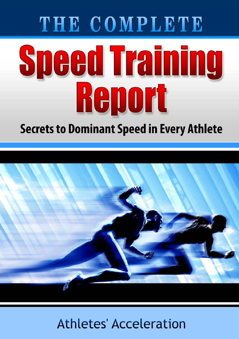# THE COMPLETE **Speed Training** Renort

### **Secrets to Dominant Speed in Every Athlete**



### Athletes' Acceleration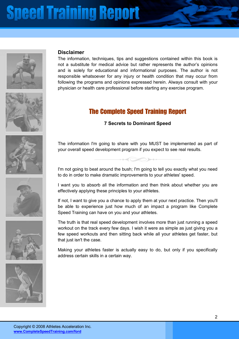



### **Disclaimer**

The information, techniques, tips and suggestions contained within this book is not a substitute for medical advice but rather represents the author's opinions and is solely for educational and informational purposes. The author is not responsible whatsoever for any injury or health condition that may occur from following the programs and opinions expressed herein. Always consult with your physician or health care professional before starting any exercise program.

### The Complete Speed Training Report

#### **7 Secrets to Dominant Speed**

The information I'm going to share with you MUST be implemented as part of your overall speed development program if you expect to see real results.

I'm not going to beat around the bush; I'm going to tell you exactly what you need to do in order to make dramatic improvements to your athletes' speed.

I want you to absorb all the information and then think about whether you are effectively applying these principles to your athletes.

If not, I want to give you a chance to apply them at your next practice. Then you'll be able to experience just how much of an impact a program like Complete Speed Training can have on you and your athletes.

The truth is that real speed development involves more than just running a speed workout on the track every few days. I wish it were as simple as just giving you a few speed workouts and then sitting back while all your athletes get faster, but that just isn't the case.

Making your athletes faster is actually easy to do, but only if you specifically address certain skills in a certain way.







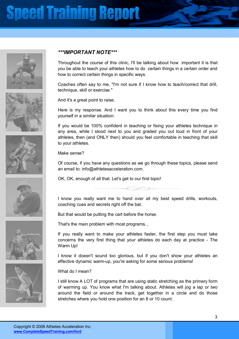











#### *\*\*\*IMPORTANT NOTE\*\*\**

Throughout the course of this clinic, I'll be talking about how important it is that you be able to teach your athletes how to do certain things in a certain order and how to correct certain things in specific ways.

Coaches often say to me, "I'm not sure if I know how to teach/correct that drill, technique, skill or exercise."

And it's a great point to raise.

Here is my response. And I want you to think about this every time you find yourself in a similar situation:

If you would be 100% confident in teaching or fixing your athletes technique in any area, while I stood next to you and graded you out loud in front of your athletes, then (and ONLY then) should you feel comfortable in teaching that skill to your athletes.

Make sense?

Of course, if you have any questions as we go through these topics, please send an email to: info@athletesacceleration.com.

OK, OK, enough of all that. Let's get to our first topic!



I know you really want me to hand over all my best speed drills, workouts, coaching cues and secrets right off the bat.

But that would be putting the cart before the horse.

That's the main problem with most programs...

If you really want to make your athletes faster, the first step you must take concerns the very first thing that your athletes do each day at practice - The Warm Up!

I know it doesn't sound too glorious, but if you don't show your athletes an effective dynamic warm-up, you're asking for some serious problems!

What do I mean?

I still know A LOT of programs that are using static stretching as the primary form of warming up. You know what I'm talking about. Athletes will jog a lap or two around the field or around the track, get together in a circle and do those stretches where you hold one position for an 8 or 10 count.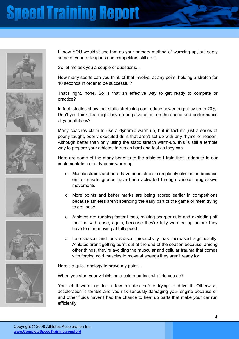











I know YOU wouldn't use that as your primary method of warming up, but sadly some of your colleagues and competitors still do it.

So let me ask you a couple of questions...

How many sports can you think of that involve, at any point, holding a stretch for 10 seconds in order to be successful?

That's right, none. So is that an effective way to get ready to compete or practice?

In fact, studies show that static stretching can reduce power output by up to 20%. Don't you think that might have a negative effect on the speed and performance of your athletes?

Many coaches claim to use a dynamic warm-up, but in fact it's just a series of poorly taught, poorly executed drills that aren't set up with any rhyme or reason. Although better than only using the static stretch warm-up, this is still a terrible way to prepare your athletes to run as hard and fast as they can.

Here are some of the many benefits to the athletes I train that I attribute to our implementation of a dynamic warm-up:

- o Muscle strains and pulls have been almost completely eliminated because entire muscle groups have been activated through various progressive movements.
- o More points and better marks are being scored earlier in competitions because athletes aren't spending the early part of the game or meet trying to get loose.
- o Athletes are running faster times, making sharper cuts and exploding off the line with ease, again, because they're fully warmed up before they have to start moving at full speed.
- » Late-season and post-season productivity has increased significantly. Athletes aren't getting burnt out at the end of the season because, among other things, they're avoiding the muscular and cellular trauma that comes with forcing cold muscles to move at speeds they aren't ready for.

Here's a quick analogy to prove my point...

When you start your vehicle on a cold morning, what do you do?

You let it warm up for a few minutes before trying to drive it. Otherwise, acceleration is terrible and you risk seriously damaging your engine because oil and other fluids haven't had the chance to heat up parts that make your car run efficiently.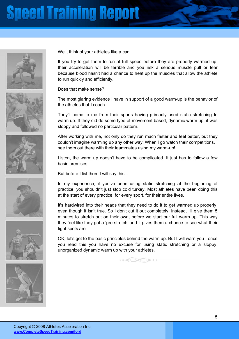











Well, think of your athletes like a car.

If you try to get them to run at full speed before they are properly warmed up, their acceleration will be terrible and you risk a serious muscle pull or tear because blood hasn't had a chance to heat up the muscles that allow the athlete to run quickly and efficiently.

Does that make sense?

The most glaring evidence I have in support of a good warm-up is the behavior of the athletes that I coach.

They'll come to me from their sports having primarily used static stretching to warm up. If they did do some type of movement based, dynamic warm up, it was sloppy and followed no particular pattern.

After working with me, not only do they run much faster and feel better, but they couldn't imagine warming up any other way! When I go watch their competitions, I see them out there with their teammates using my warm-up!

Listen, the warm up doesn't have to be complicated. It just has to follow a few basic premises.

But before I list them I will say this...

In my experience, if you've been using static stretching at the beginning of practice, you shouldn't just stop cold turkey. Most athletes have been doing this at the start of every practice, for every sport, for their entire lives.

It's hardwired into their heads that they need to do it to get warmed up properly, even though it isn't true. So I don't cut it out completely. Instead, I'll give them 5 minutes to stretch out on their own, before we start our full warm up. This way they feel like they got a 'pre-stretch' and it gives them a chance to see what their tight spots are.

OK, let's get to the basic principles behind the warm up. But I will warn you - once you read this you have no excuse for using static stretching or a sloppy, unorganized dynamic warm up with your athletes.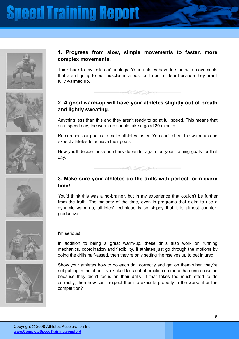





Think back to my 'cold car' analogy. Your athletes have to start with movements that aren't going to put muscles in a position to pull or tear because they aren't fully warmed up.

### **2. A good warm-up will have your athletes slightly out of breath and lightly sweating.**

 $\rightarrow$ 

Anything less than this and they aren't ready to go at full speed. This means that on a speed day, the warm-up should take a good 20 minutes.

Remember, our goal is to make athletes faster. You can't cheat the warm up and expect athletes to achieve their goals.

How you'll decide those numbers depends, again, on your training goals for that day.



#### **3. Make sure your athletes do the drills with perfect form every time!**

You'd think this was a no-brainer, but in my experience that couldn't be further from the truth. The majority of the time, even in programs that claim to use a dynamic warm-up, athletes' technique is so sloppy that it is almost counterproductive.





#### I'm serious!

In addition to being a great warm-up, these drills also work on running mechanics, coordination and flexibility. If athletes just go through the motions by doing the drills half-assed, then they're only setting themselves up to get injured.

Show your athletes how to do each drill correctly and get on them when they're not putting in the effort. I've kicked kids out of practice on more than one occasion because they didn't focus on their drills. If that takes too much effort to do correctly, then how can I expect them to execute properly in the workout or the competition?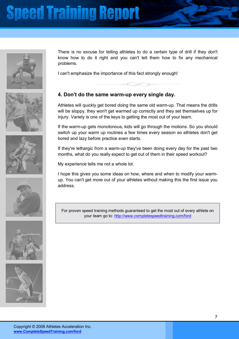

There is no excuse for telling athletes to do a certain type of drill if they don't know how to do it right and you can't tell them how to fix any mechanical problems.

I can't emphasize the importance of this fact strongly enough!

### **4. Don't do the same warm-up every single day.**

Athletes will quickly get bored doing the same old warm-up. That means the drills will be sloppy, they won't get warmed up correctly and they set themselves up for injury. Variety is one of the keys to getting the most out of your team.

If the warm-up gets monotonous, kids will go through the motions. So you should switch up your warm up routines a few times every season so athletes don't get bored and lazy before practice even starts.

If they're lethargic from a warm-up they've been doing every day for the past two months, what do you really expect to get out of them in their speed workout?

My experience tells me not a whole lot.

I hope this gives you some ideas on how, where and when to modify your warmup. You can't get more out of your athletes without making this the first issue you address.

For proven speed training methods guaranteed to get the most out of every athlete on your team go to: http://www.completespeedtraining.com/ford









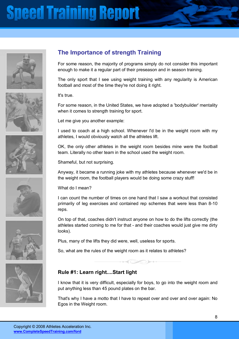











### **The Importance of strength Training**

For some reason, the majority of programs simply do not consider this important enough to make it a regular part of their preseason and in season training.

The only sport that I see using weight training with any regularity is American football and most of the time they're not doing it right.

It's true.

For some reason, in the United States, we have adopted a 'bodybuilder' mentality when it comes to strength training for sport.

Let me give you another example:

I used to coach at a high school. Whenever I'd be in the weight room with my athletes, I would obviously watch all the athletes lift.

OK, the only other athletes in the weight room besides mine were the football team. Literally no other team in the school used the weight room.

Shameful, but not surprising.

Anyway, it became a running joke with my athletes because whenever we'd be in the weight room, the football players would be doing some crazy stuff!

What do I mean?

I can count the number of times on one hand that I saw a workout that consisted primarily of leg exercises and contained rep schemes that were less than 8-10 reps.

On top of that, coaches didn't instruct anyone on how to do the lifts correctly (the athletes started coming to me for that - and their coaches would just give me dirty looks).

Plus, many of the lifts they did were, well, useless for sports.

So, what are the rules of the weight room as it relates to athletes?

#### **Rule #1: Learn right....Start light**

I know that it is very difficult, especially for boys, to go into the weight room and put anything less than 45 pound plates on the bar.

That's why I have a motto that I have to repeat over and over and over again: No Egos in the Weight room.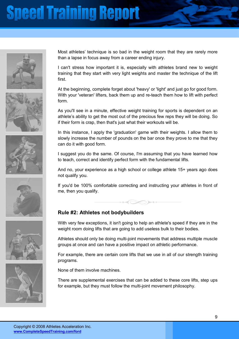











Most athletes' technique is so bad in the weight room that they are rarely more than a lapse in focus away from a career ending injury.

I can't stress how important it is, especially with athletes brand new to weight training that they start with very light weights and master the technique of the lift first.

At the beginning, complete forget about 'heavy' or 'light' and just go for good form. With your 'veteran' lifters, back them up and re-teach them how to lift with perfect form.

As you'll see in a minute, effective weight training for sports is dependent on an athlete's ability to get the most out of the precious few reps they will be doing. So if their form is crap, then that's just what their workouts will be.

In this instance, I apply the 'graduation' game with their weights. I allow them to slowly increase the number of pounds on the bar once they prove to me that they can do it with good form.

I suggest you do the same. Of course, I'm assuming that you have learned how to teach, correct and identify perfect form with the fundamental lifts.

And no, your experience as a high school or college athlete 15+ years ago does not qualify you.

If you'd be 100% comfortable correcting and instructing your athletes in front of me, then you qualify.

#### **Rule #2: Athletes not bodybuilders**

With very few exceptions, it isn't going to help an athlete's speed if they are in the weight room doing lifts that are going to add useless bulk to their bodies.

Athletes should only be doing multi-joint movements that address multiple muscle groups at once and can have a positive impact on athletic performance.

For example, there are certain core lifts that we use in all of our strength training programs.

None of them involve machines.

There are supplemental exercises that can be added to these core lifts, step ups for example, but they must follow the multi-joint movement philosophy.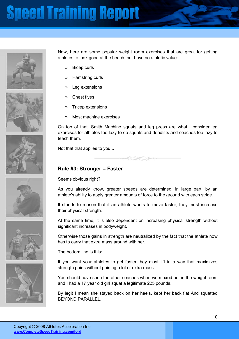











Now, here are some popular weight room exercises that are great for getting athletes to look good at the beach, but have no athletic value:

- » Bicep curls
- » Hamstring curls
- Leg extensions
- » Chest flyes
- » Tricep extensions
- » Most machine exercises

On top of that, Smith Machine squats and leg press are what I consider leg exercises for athletes too lazy to do squats and deadlifts and coaches too lazy to teach them.

Not that that applies to you...



#### **Rule #3: Stronger = Faster**

Seems obvious right?

As you already know, greater speeds are determined, in large part, by an athlete's ability to apply greater amounts of force to the ground with each stride.

It stands to reason that if an athlete wants to move faster, they must increase their physical strength.

At the same time, it is also dependent on increasing physical strength without significant increases in bodyweight.

Otherwise those gains in strength are neutralized by the fact that the athlete now has to carry that extra mass around with her.

The bottom line is this:

If you want your athletes to get faster they must lift in a way that maximizes strength gains without gaining a lot of extra mass.

You should have seen the other coaches when we maxed out in the weight room and I had a 17 year old girl squat a legitimate 225 pounds.

By legit I mean she stayed back on her heels, kept her back flat And squatted BEYOND PARALLEL.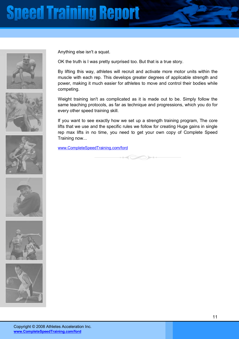











Anything else isn't a squat.

OK the truth is I was pretty surprised too. But that is a true story.

By lifting this way, athletes will recruit and activate more motor units within the muscle with each rep. This develops greater degrees of applicable strength and power, making it much easier for athletes to move and control their bodies while competing.

Weight training isn't as complicated as it is made out to be. Simply follow the same teaching protocols, as far as technique and progressions, which you do for every other speed training skill.

If you want to see exactly how we set up a strength training program, The core lifts that we use and the specific rules we follow for creating Huge gains in single rep max lifts in no time, you need to get your own copy of Complete Speed Training now...

www.CompleteSpeedTraining.com/ford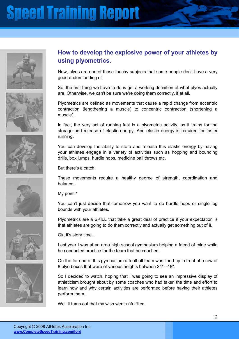











### **How to develop the explosive power of your athletes by using plyometrics.**

Now, plyos are one of those touchy subjects that some people don't have a very good understanding of.

So, the first thing we have to do is get a working definition of what plyos actually are. Otherwise, we can't be sure we're doing them correctly, if at all.

Plyometrics are defined as movements that cause a rapid change from eccentric contraction (lengthening a muscle) to concentric contraction (shortening a muscle).

In fact, the very act of running fast is a plyometric activity, as it trains for the storage and release of elastic energy. And elastic energy is required for faster running.

You can develop the ability to store and release this elastic energy by having your athletes engage in a variety of activities such as hopping and bounding drills, box jumps, hurdle hops, medicine ball throws,etc.

But there's a catch.

These movements require a healthy degree of strength, coordination and balance.

My point?

You can't just decide that tomorrow you want to do hurdle hops or single leg bounds with your athletes.

Plyometrics are a SKILL that take a great deal of practice if your expectation is that athletes are going to do them correctly and actually get something out of it.

Ok, it's story time...

Last year I was at an area high school gymnasium helping a friend of mine while he conducted practice for the team that he coached.

On the far end of this gymnasium a football team was lined up in front of a row of 8 plyo boxes that were of various heights between 24" - 48".

So I decided to watch, hoping that I was going to see an impressive display of athleticism brought about by some coaches who had taken the time and effort to learn how and why certain activities are performed before having their athletes perform them.

Well it turns out that my wish went unfulfilled.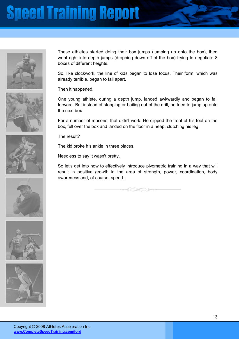











These athletes started doing their box jumps (jumping up onto the box), then went right into depth jumps (dropping down off of the box) trying to negotiate 8 boxes of different heights.

So, like clockwork, the line of kids began to lose focus. Their form, which was already terrible, began to fall apart.

Then it happened.

One young athlete, during a depth jump, landed awkwardly and began to fall forward. But instead of stopping or bailing out of the drill, he tried to jump up onto the next box.

For a number of reasons, that didn't work. He clipped the front of his foot on the box, fell over the box and landed on the floor in a heap, clutching his leg.

The result?

The kid broke his ankle in three places.

Needless to say it wasn't pretty.

So let's get into how to effectively introduce plyometric training in a way that will result in positive growth in the area of strength, power, coordination, body awareness and, of course, speed...

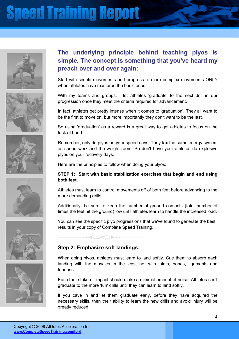











### **The underlying principle behind teaching plyos is simple. The concept is something that you've heard my preach over and over again:**

Start with simple movements and progress to more complex movements ONLY when athletes have mastered the basic ones.

With my teams and groups, I let athletes 'graduate' to the next drill in our progression once they meet the criteria required for advancement.

In fact, athletes get pretty intense when it comes to 'graduation'. They all want to be the first to move on, but more importantly they don't want to be the last.

So using 'graduation' as a reward is a great way to get athletes to focus on the task at hand.

Remember, only do plyos on your speed days. They tax the same energy system as speed work and the weight room. So don't have your athletes do explosive plyos on your recovery days.

Here are the principles to follow when doing your plyos:

#### **STEP 1: Start with basic stabilization exercises that begin and end using both feet.**

Athletes must learn to control movements off of both feet before advancing to the more demanding drills.

Additionally, be sure to keep the number of ground contacts (total number of times the feet hit the ground) low until athletes learn to handle the increased load.

You can see the specific plyo progressions that we've found to generate the best results in your copy of Complete Speed Training.

#### **Step 2: Emphasize soft landings.**

When doing plyos, athletes must learn to land softly. Cue them to absorb each landing with the muscles in the legs, not with joints, bones, ligaments and tendons.

Each foot strike or impact should make a minimal amount of noise. Athletes can't graduate to the more 'fun' drills until they can learn to land softly.

If you cave in and let them graduate early, before they have acquired the necessary skills, then their ability to learn the new drills and avoid injury will be greatly reduced.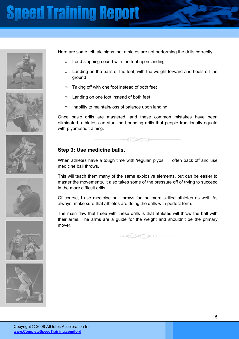











Here are some tell-tale signs that athletes are not performing the drills correctly:

- Loud slapping sound with the feet upon landing
- » Landing on the balls of the feet, with the weight forward and heels off the ground
- » Taking off with one foot instead of both feet
- » Landing on one foot instead of both feet
- » Inability to maintain/loss of balance upon landing

Once basic drills are mastered, and these common mistakes have been eliminated, athletes can start the bounding drills that people traditionally equate with plyometric training.

 $\iff$ 

#### **Step 3: Use medicine balls.**

When athletes have a tough time with 'regular' plyos, I'll often back off and use medicine ball throws.

This will teach them many of the same explosive elements, but can be easier to master the movements. It also takes some of the pressure off of trying to succeed in the more difficult drills.

Of course, I use medicine ball throws for the more skilled athletes as well. As always, make sure that athletes are doing the drills with perfect form.

The main flaw that I see with these drills is that athletes will throw the ball with their arms. The arms are a guide for the weight and shouldn't be the primary mover.

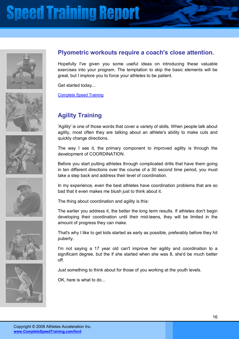











### **Plyometric workouts require a coach's close attention.**

Hopefully I've given you some useful ideas on introducing these valuable exercises into your program. The temptation to skip the basic elements will be great, but I implore you to force your athletes to be patient.

Get started today...

Complete Speed Training

### **Agility Training**

'Agility' is one of those words that cover a variety of skills. When people talk about agility, most often they are talking about an athlete's ability to make cuts and quickly change directions.

The way I see it, the primary component to improved agility is through the development of COORDINATION.

Before you start putting athletes through complicated drills that have them going in ten different directions over the course of a 30 second time period, you must take a step back and address their level of coordination.

In my experience, even the best athletes have coordination problems that are so bad that it even makes me blush just to think about it.

The thing about coordination and agility is this:

The earlier you address it, the better the long term results. If athletes don't begin developing their coordination until their mid-teens, they will be limited in the amount of progress they can make.

That's why I like to get kids started as early as possible, preferably before they hit puberty.

I'm not saying a 17 year old can't improve her agility and coordination to a significant degree, but the if she started when she was 8, she'd be much better off.

Just something to think about for those of you working at the youth levels.

OK, here is what to do...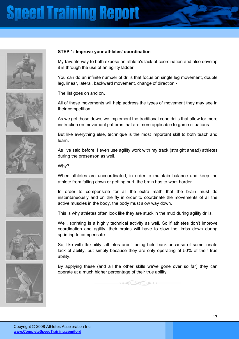











#### **STEP 1: Improve your athletes' coordination**

My favorite way to both expose an athlete's lack of coordination and also develop it is through the use of an agility ladder.

You can do an infinite number of drills that focus on single leg movement, double leg, linear, lateral, backward movement, change of direction -

The list goes on and on.

All of these movements will help address the types of movement they may see in their competition.

As we get those down, we implement the traditional cone drills that allow for more instruction on movement patterns that are more applicable to game situations.

But like everything else, technique is the most important skill to both teach and learn.

As I've said before, I even use agility work with my track (straight ahead) athletes during the preseason as well.

Why?

When athletes are uncoordinated, in order to maintain balance and keep the athlete from falling down or getting hurt, the brain has to work harder.

In order to compensate for all the extra math that the brain must do instantaneously and on the fly in order to coordinate the movements of all the active muscles in the body, the body must slow way down.

This is why athletes often look like they are stuck in the mud during agility drills.

Well, sprinting is a highly technical activity as well. So if athletes don't improve coordination and agility, their brains will have to slow the limbs down during sprinting to compensate.

So, like with flexibility, athletes aren't being held back because of some innate lack of ability, but simply because they are only operating at 50% of their true ability.

By applying these (and all the other skills we've gone over so far) they can operate at a much higher percentage of their true ability.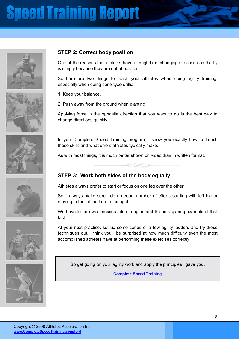











### **STEP 2: Correct body position**

One of the reasons that athletes have a tough time changing directions on the fly is simply because they are out of position.

So here are two things to teach your athletes when doing agility training, especially when doing cone-type drills:

1. Keep your balance.

2. Push away from the ground when planting.

Applying force in the opposite direction that you want to go is the best way to change directions quickly.

In your Complete Speed Training program, I show you exactly how to Teach these skills and what errors athletes typically make.

As with most things, it is much better shown on video than in written format.

#### **STEP 3: Work both sides of the body equally**

Athletes always prefer to start or focus on one leg over the other.

So, I always make sure I do an equal number of efforts starting with left leg or moving to the left as I do to the right.

We have to turn weaknesses into strengths and this is a glaring example of that fact.

At your next practice, set up some cones or a few agility ladders and try these techniques out. I think you'll be surprised at how much difficulty even the most accomplished athletes have at performing these exercises correctly.

So get going on your agility work and apply the principles I gave you.

**Complete Speed Training**

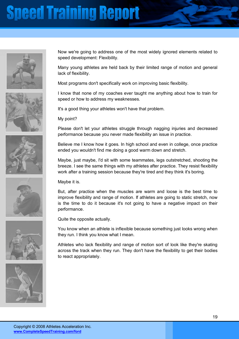











Now we're going to address one of the most widely ignored elements related to speed development: Flexibility.

Many young athletes are held back by their limited range of motion and general lack of flexibility.

Most programs don't specifically work on improving basic flexibility.

I know that none of my coaches ever taught me anything about how to train for speed or how to address my weaknesses.

It's a good thing your athletes won't have that problem.

My point?

Please don't let your athletes struggle through nagging injuries and decreased performance because you never made flexibility an issue in practice.

Believe me I know how it goes. In high school and even in college, once practice ended you wouldn't find me doing a good warm down and stretch.

Maybe, just maybe, I'd sit with some teammates, legs outstretched, shooting the breeze. I see the same things with my athletes after practice. They resist flexibility work after a training session because they're tired and they think it's boring.

Maybe it is.

But, after practice when the muscles are warm and loose is the best time to improve flexibility and range of motion. If athletes are going to static stretch, now is the time to do it because it's not going to have a negative impact on their performance.

Quite the opposite actually.

You know when an athlete is inflexible because something just looks wrong when they run. I think you know what I mean.

Athletes who lack flexibility and range of motion sort of look like they're skating across the track when they run. They don't have the flexibility to get their bodies to react appropriately.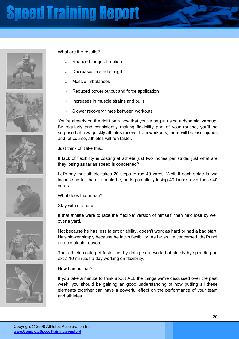











What are the results?

- Reduced range of motion
- » Decreases in stride length
- » Muscle imbalances
- » Reduced power output and force application
- » Increases in muscle strains and pulls
- » Slower recovery times between workouts

You're already on the right path now that you've begun using a dynamic warmup. By regularly and consistently making flexibility part of your routine, you'll be surprised at how quickly athletes recover from workouts, there will be less injuries and, of course, athletes will run faster.

Just think of it like this...

If lack of flexibility is costing at athlete just two inches per stride, just what are they losing as far as speed is concerned?

Let's say that athlete takes 20 steps to run 40 yards. Well, if each stride is two inches shorter than it should be, he is potentially losing 40 inches over those 40 yards.

What does that mean?

Stay with me here.

If that athlete were to race the 'flexible' version of himself, then he'd lose by well over a yard.

Not because he has less talent or ability, doesn't work as hard or had a bad start. He's slower simply because he lacks flexibility. As far as I'm concerned, that's not an acceptable reason.

That athlete could get faster not by doing extra work, but simply by spending an extra 10 minutes a day working on flexibility.

#### How hard is that?

If you take a minute to think about ALL the things we've discussed over the past week, you should be gaining an good understanding of how putting all these elements together can have a powerful effect on the performance of your team and athletes.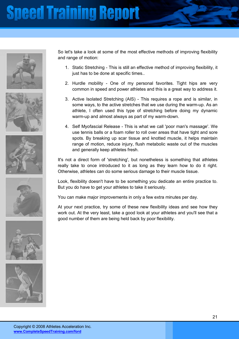











So let's take a look at some of the most effective methods of improving flexibility and range of motion:

- 1. Static Stretching This is still an effective method of improving flexibility, it just has to be done at specific times..
- 2. Hurdle mobility One of my personal favorites. Tight hips are very common in speed and power athletes and this is a great way to address it.
- 3. Active Isolated Stretching (AIS) This requires a rope and is similar, in some ways, to the active stretches that we use during the warm-up. As an athlete, I often used this type of stretching before doing my dynamic warm-up and almost always as part of my warm-down.
- 4. Self Myofascial Release This is what we call 'poor man's massage'. We use tennis balls or a foam roller to roll over areas that have tight and sore spots. By breaking up scar tissue and knotted muscle, it helps maintain range of motion, reduce injury, flush metabolic waste out of the muscles and generally keep athletes fresh.

It's not a direct form of 'stretching', but nonetheless is something that athletes really take to once introduced to it as long as they learn how to do it right. Otherwise, athletes can do some serious damage to their muscle tissue.

Look, flexibility doesn't have to be something you dedicate an entire practice to. But you do have to get your athletes to take it seriously.

You can make major improvements in only a few extra minutes per day.

At your next practice, try some of these new flexibility ideas and see how they work out. At the very least, take a good look at your athletes and you'll see that a good number of them are being held back by poor flexibility.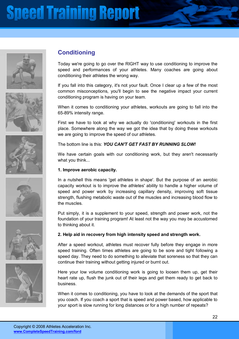











### **Conditioning**

Today we're going to go over the RIGHT way to use conditioning to improve the speed and performances of your athletes. Many coaches are going about conditioning their athletes the wrong way.

If you fall into this category, it's not your fault. Once I clear up a few of the most common misconceptions, you'll begin to see the negative impact your current conditioning program is having on your team.

When it comes to conditioning your athletes, workouts are going to fall into the 65-89% intensity range.

First we have to look at why we actually do 'conditioning' workouts in the first place. Somewhere along the way we got the idea that by doing these workouts we are going to improve the speed of our athletes.

The bottom line is this: *YOU CAN'T GET FAST BY RUNNING SLOW!* 

We have certain goals with our conditioning work, but they aren't necessarily what you think...

#### **1. Improve aerobic capacity.**

In a nutshell this means 'get athletes in shape'. But the purpose of an aerobic capacity workout is to improve the athletes' ability to handle a higher volume of speed and power work by increasing capillary density, improving soft tissue strength, flushing metabolic waste out of the muscles and increasing blood flow to the muscles.

Put simply, it is a supplement to your speed, strength and power work, not the foundation of your training program! At least not the way you may be accustomed to thinking about it.

#### **2. Help aid in recovery from high intensity speed and strength work.**

After a speed workout, athletes must recover fully before they engage in more speed training. Often times athletes are going to be sore and tight following a speed day. They need to do something to alleviate that soreness so that they can continue their training without getting injured or burnt out.

Here your low volume conditioning work is going to loosen them up, get their heart rate up, flush the junk out of their legs and get them ready to get back to business.

When it comes to conditioning, you have to look at the demands of the sport that you coach. If you coach a sport that is speed and power based, how applicable to your sport is slow running for long distances or for a high number of repeats?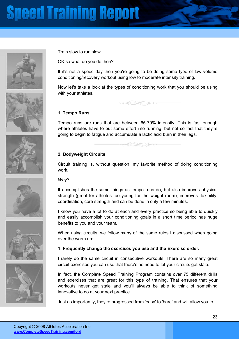











Train slow to run slow.

OK so what do you do then?

If it's not a speed day then you're going to be doing some type of low volume conditioning/recovery workout using low to moderate intensity training.

Now let's take a look at the types of conditioning work that you should be using with your athletes.

 $\rightarrow$ 

#### **1. Tempo Runs**

Tempo runs are runs that are between 65-79% intensity. This is fast enough where athletes have to put some effort into running, but not so fast that they're going to begin to fatigue and accumulate a lactic acid burn in their legs.

#### **2. Bodyweight Circuits**

Circuit training is, without question, my favorite method of doing conditioning work.

#### *Why?*

It accomplishes the same things as tempo runs do, but also improves physical strength (great for athletes too young for the weight room), improves flexibility, coordination, core strength and can be done in only a few minutes.

I know you have a lot to do at each and every practice so being able to quickly and easily accomplish your conditioning goals in a short time period has huge benefits to you and your team.

When using circuits, we follow many of the same rules I discussed when going over the warm up:

#### **1. Frequently change the exercises you use and the Exercise order.**

I rarely do the same circuit in consecutive workouts. There are so many great circuit exercises you can use that there's no need to let your circuits get stale.

In fact, the Complete Speed Training Program contains over 75 different drills and exercises that are great for this type of training. That ensures that your workouts never get stale and you'll always be able to think of something innovative to do at your next practice.

Just as importantly, they're progressed from 'easy' to 'hard' and will allow you to...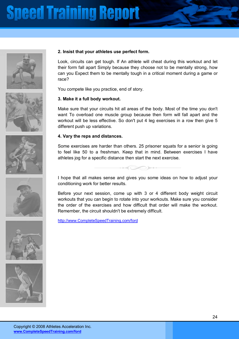











#### **2. Insist that your athletes use perfect form.**

Look, circuits can get tough. If An athlete will cheat during this workout and let their form fall apart Simply because they choose not to be mentally strong, how can you Expect them to be mentally tough in a critical moment during a game or race?

You compete like you practice, end of story.

#### **3. Make it a full body workout.**

Make sure that your circuits hit all areas of the body. Most of the time you don't want To overload one muscle group because then form will fall apart and the workout will be less effective. So don't put 4 leg exercises in a row then give 5 different push up variations.

#### **4. Vary the reps and distances.**

Some exercises are harder than others. 25 prisoner squats for a senior is going to feel like 50 to a freshman. Keep that in mind. Between exercises I have athletes jog for a specific distance then start the next exercise.

 $\rightarrow$ 

I hope that all makes sense and gives you some ideas on how to adjust your conditioning work for better results.

Before your next session, come up with 3 or 4 different body weight circuit workouts that you can begin to rotate into your workouts. Make sure you consider the order of the exercises and how difficult that order will make the workout. Remember, the circuit shouldn't be extremely difficult.

http://www.CompleteSpeedTraining.com/ford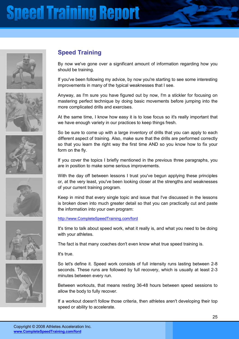











### **Speed Training**

By now we've gone over a significant amount of information regarding how you should be training.

If you've been following my advice, by now you're starting to see some interesting improvements in many of the typical weaknesses that I see.

Anyway, as I'm sure you have figured out by now, I'm a stickler for focusing on mastering perfect technique by doing basic movements before jumping into the more complicated drills and exercises.

At the same time, I know how easy it is to lose focus so it's really important that we have enough variety in our practices to keep things fresh.

So be sure to come up with a large inventory of drills that you can apply to each different aspect of training. Also, make sure that the drills are performed correctly so that you learn the right way the first time AND so you know how to fix your form on the fly.

If you cover the topics I briefly mentioned in the previous three paragraphs, you are in position to make some serious improvements.

With the day off between lessons I trust you've begun applying these principles or, at the very least, you've been looking closer at the strengths and weaknesses of your current training program.

Keep in mind that every single topic and issue that I've discussed in the lessons is broken down into much greater detail so that you can practically cut and paste the information into your own program:

#### http://www.CompleteSpeedTraining.com/ford

It's time to talk about speed work, what it really is, and what you need to be doing with your athletes.

The fact is that many coaches don't even know what true speed training is.

#### It's true.

So let's define it. Speed work consists of full intensity runs lasting between 2-8 seconds. These runs are followed by full recovery, which is usually at least 2-3 minutes between every run.

Between workouts, that means resting 36-48 hours between speed sessions to allow the body to fully recover.

If a workout doesn't follow those criteria, then athletes aren't developing their top speed or ability to accelerate.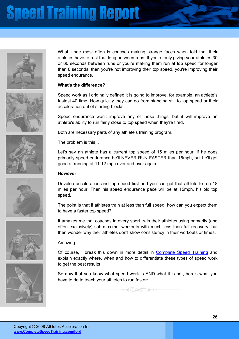











What I see most often is coaches making strange faces when told that their athletes have to rest that long between runs. If you're only giving your athletes 30 or 60 seconds between runs or you're making them run at top speed for longer than 8 seconds, then you're not improving their top speed, you're improving their speed endurance.

#### **What's the difference?**

Speed work as I originally defined it is going to improve, for example, an athlete's fastest 40 time, How quickly they can go from standing still to top speed or their acceleration out of starting blocks.

Speed endurance won't improve any of those things, but it will improve an athlete's ability to run fairly close to top speed when they're tired.

Both are necessary parts of any athlete's training program.

The problem is this...

Let's say an athlete has a current top speed of 15 miles per hour. If he does primarily speed endurance he'll NEVER RUN FASTER than 15mph, but he'll get good at running at 11-12 mph over and over again.

#### **However:**

Develop acceleration and top speed first and you can get that athlete to run 18 miles per hour. Then his speed endurance pace will be at 15mph, his old top speed.

The point is that if athletes train at less than full speed, how can you expect them to have a faster top speed?

It amazes me that coaches in every sport train their athletes using primarily (and often exclusively) sub-maximal workouts with much less than full recovery, but then wonder why their athletes don't show consistency in their workouts or times.

#### Amazing.

Of course, I break this down in more detail in Complete Speed Training and explain exactly where, when and how to differentiate these types of speed work to get the best results

So now that you know what speed work is AND what it is not, here's what you have to do to teach your athletes to run faster: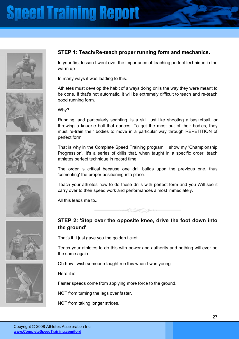











### **STEP 1: Teach/Re-teach proper running form and mechanics.**

In your first lesson I went over the importance of teaching perfect technique in the warm up.

In many ways it was leading to this.

Athletes must develop the habit of always doing drills the way they were meant to be done. If that's not automatic, it will be extremely difficult to teach and re-teach good running form.

Why?

Running, and particularly sprinting, is a skill just like shooting a basketball, or throwing a knuckle ball that dances. To get the most out of their bodies, they must re-train their bodies to move in a particular way through REPETITION of perfect form.

That is why in the Complete Speed Training program, I show my 'Championship Progression'. It's a series of drills that, when taught in a specific order, teach athletes perfect technique in record time.

The order is critical because one drill builds upon the previous one, thus 'cementing' the proper positioning into place.

Teach your athletes how to do these drills with perfect form and you Will see it carry over to their speed work and performances almost immediately.

All this leads me to...

### **STEP 2: 'Step over the opposite knee, drive the foot down into the ground'**

That's it. I just gave you the golden ticket.

Teach your athletes to do this with power and authority and nothing will ever be the same again.

Oh how I wish someone taught me this when I was young.

Here it is:

Faster speeds come from applying more force to the ground.

NOT from turning the legs over faster.

NOT from taking longer strides.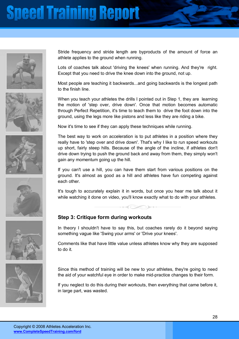











Stride frequency and stride length are byproducts of the amount of force an athlete applies to the ground when running.

Lots of coaches talk about 'driving the knees' when running. And they're right. Except that you need to drive the knee down into the ground, not up.

Most people are teaching it backwards...and going backwards is the longest path to the finish line.

When you teach your athletes the drills I pointed out in Step 1, they are learning the motion of 'step over, drive down'. Once that motion becomes automatic through Perfect Repetition, it's time to teach them to drive the foot down into the ground, using the legs more like pistons and less like they are riding a bike.

Now it's time to see if they can apply these techniques while running.

The best way to work on acceleration is to put athletes in a position where they really have to 'step over and drive down'. That's why I like to run speed workouts up short, fairly steep hills. Because of the angle of the incline, if athletes don't drive down trying to push the ground back and away from them, they simply won't gain any momentum going up the hill.

If you can't use a hill, you can have them start from various positions on the ground. It's almost as good as a hill and athletes have fun competing against each other.

It's tough to accurately explain it in words, but once you hear me talk about it while watching it done on video, you'll know exactly what to do with your athletes.

#### **Step 3: Critique form during workouts**

In theory I shouldn't have to say this, but coaches rarely do it beyond saying something vague like 'Swing your arms' or 'Drive your knees'.

Comments like that have little value unless athletes know why they are supposed to do it.

Since this method of training will be new to your athletes, they're going to need the aid of your watchful eye in order to make mid-practice changes to their form.

If you neglect to do this during their workouts, then everything that came before it, in large part, was wasted.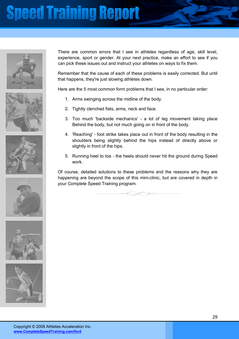











There are common errors that I see in athletes regardless of age, skill level, experience, sport or gender. At your next practice, make an effort to see if you can pick these issues out and instruct your athletes on ways to fix them.

Remember that the cause of each of these problems is easily corrected. But until that happens, they're just slowing athletes down.

Here are the 5 most common form problems that I see, in no particular order:

- 1. Arms swinging across the midline of the body.
- 2. Tightly clenched fists, arms, neck and face.
- 3. Too much 'backside mechanics' a lot of leg movement taking place Behind the body, but not much going on in front of the body.
- 4. 'Reaching' foot strike takes place out in front of the body resulting in the shoulders being slightly behind the hips instead of directly above or slightly in front of the hips.
- 5. Running heel to toe the heels should never hit the ground during Speed work.

Of course, detailed solutions to these problems and the reasons why they are happening are beyond the scope of this mini-clinic, but are covered in depth in your Complete Speed Training program.

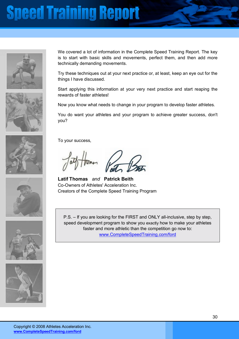









We covered a lot of information in the Complete Speed Training Report. The key is to start with basic skills and movements, perfect them, and then add more technically demanding movements.

Try these techniques out at your next practice or, at least, keep an eye out for the things I have discussed.

Start applying this information at your very next practice and start reaping the rewards of faster athletes!

Now you know what needs to change in your program to develop faster athletes.

You do want your athletes and your program to achieve greater success, don't you?

To your success,

**Latif Thomas** *and* **Patrick Beith** Co-Owners of Athletes' Acceleration Inc. Creators of the Complete Speed Training Program

P.S. – If you are looking for the FIRST and ONLY all-inclusive, step by step, speed development program to show you exactly how to make your athletes faster and more athletic than the competition go now to: www.CompleteSpeedTraining.com/ford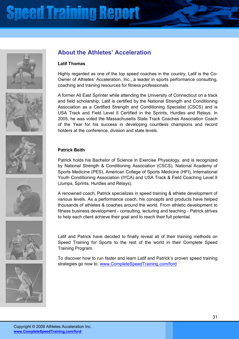











### **About the Athletes' Acceleration**

#### **Latif Thomas**

Highly regarded as one of the top speed coaches in the country, Latif is the Co-Owner of Athletesí Acceleration, Inc., a leader in sports performance consulting, coaching and training resources for fitness professionals.

A former All East Sprinter while attending the University of Connecticut on a track and field scholarship, Latif is certified by the National Strength and Conditioning Association as a Certified Strength and Conditioning Specialist (CSCS) and is USA Track and Field Level II Certified in the Sprints, Hurdles and Relays. In 2005, he was voted the Massachusetts State Track Coaches Association Coach of the Year for his success in developing countless champions and record holders at the conference, division and state levels.

#### **Patrick Beith**

Patrick holds his Bachelor of Science in Exercise Physiology, and is recognized by National Strength & Conditioning Association (CSCS), National Academy of Sports Medicine (PES), American College of Sports Medicine (HFI), International Youth Conditioning Association (IYCA) and USA Track & Field Coaching Level II (Jumps, Sprints, Hurdles and Relays).

A renowned coach, Patrick specializes in speed training & athlete development of various levels. As a performance coach, his concepts and products have helped thousands of athletes & coaches around the world. From athletic development to fitness business development - consulting, lecturing and teaching - Patrick strives to help each client achieve their goal and to reach their full potential.

Latif and Patrick have decided to finally reveal all of their training methods on Speed Training for Sports to the rest of the world in their Complete Speed Training Program.

To discover how to run faster and learn Latif and Patrick's proven speed training strategies go now to: www.CompleteSpeedTraining.com/ford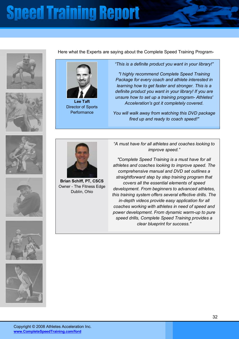



Here what the Experts are saying about the Complete Speed Training Program-



**Lee Taft** Director of Sports **Performance** 

**Brian Schiff, PT, CSCS** Owner - The Fitness Edge Dublin, Ohio

*ìThis is a definite product you want in your library!î* 

*"I highly recommend Complete Speed Training Package for every coach and athlete interested in learning how to get faster and stronger. This is a definite product you want in your library! If you are unsure how to set up a training program- Athletes' Acceleration's got it completely covered.* 

*You will walk away from watching this DVD package fired up and ready to coach speed!"*









*ìA must have for all athletes and coaches looking to improve speed.î* 

*"Complete Speed Training is a must have for all athletes and coaches looking to improve speed. The comprehensive manual and DVD set outlines a straightforward step by step training program that covers all the essential elements of speed development. From beginners to advanced athletes, this training system offers several effective drills. The in-depth videos provide easy application for all coaches working with athletes in need of speed and power development. From dynamic warm-up to pure speed drills, Complete Speed Training provides a clear blueprint for success."*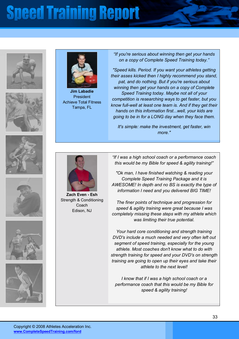













**Jim Labadie** President Achieve Total Fitness Tampa, FL

*ìIf you're serious about winning then get your hands on a copy of Complete Speed Training today.î* 

*"Speed kills. Period. If you want your athletes getting their asses kicked then I highly recommend you stand, pat, and do nothing. But if you're serious about winning then get your hands on a copy of Complete Speed Training today. Maybe not all of your competition is researching ways to get faster, but you know full-well at least one team is. And if they get their hands on this information first...well, your kids are going to be in for a LONG day when they face them.* 

*It's simple: make the investment, get faster, win more."*



**Zach Even - Esh** Strength & Conditioning Coach Edison, NJ

*ìIf I was a high school coach or a performance coach*  this would be my Bible for speed & agility training!"

*"Ok man, I have finished watching & reading your Complete Speed Training Package and it is AWESOME! In depth and no BS is exactly the type of information I need and you delivered BIG TIME!* 

*The finer points of technique and progression for speed & agility training were great because I was completely missing these steps with my athlete which was limiting their true potential.* 

*Your hard core conditioning and strength training DVD's include a much needed and very often left out segment of speed training, especially for the young athlete. Most coaches don't know what to do with strength training for speed and your DVD's on strength training are going to open up their eyes and take their athlete to the next level!* 

*I know that if I was a high school coach or a performance coach that this would be my Bible for speed & agility training!*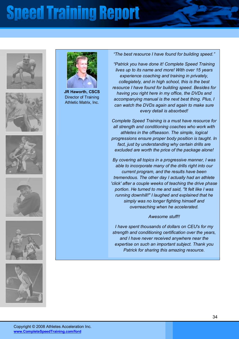













**JR Haworth, CSCS** Director of Training Athletic Matrix, Inc.

#### *ìThe best resource I have found for building speed.î*

*ìPatrick you have done it! Complete Speed Training lives up to its name and more! With over 15 years experience coaching and training in privately, collegiately, and in high school, this is the best resource I have found for building speed. Besides for having you right here in my office, the DVDs and accompanying manual is the next best thing. Plus, I can watch the DVDs again and again to make sure every detail is absorbed!* 

*Complete Speed Training is a must have resource for all strength and conditioning coaches who work with athletes in the offseason. The simple, logical progressions ensure proper body position is taught. In fact, just by understanding why certain drills are excluded are worth the price of the package alone!* 

*By covering all topics in a progressive manner, I was able to incorporate many of the drills right into our current program, and the results have been tremendous. The other day I actually had an athlete 'click' after a couple weeks of teaching the drive phase portion. He turned to me and said, "It felt like I was running downhill!" I laughed and explained that he simply was no longer fighting himself and overreaching when he accelerated.* 

#### *Awesome stuff!!*

*I have spent thousands of dollars on CEU's for my strength and conditioning certification over the years, and I have never received anywhere near the expertise on such an important subject. Thank you Patrick for sharing this amazing resource.*